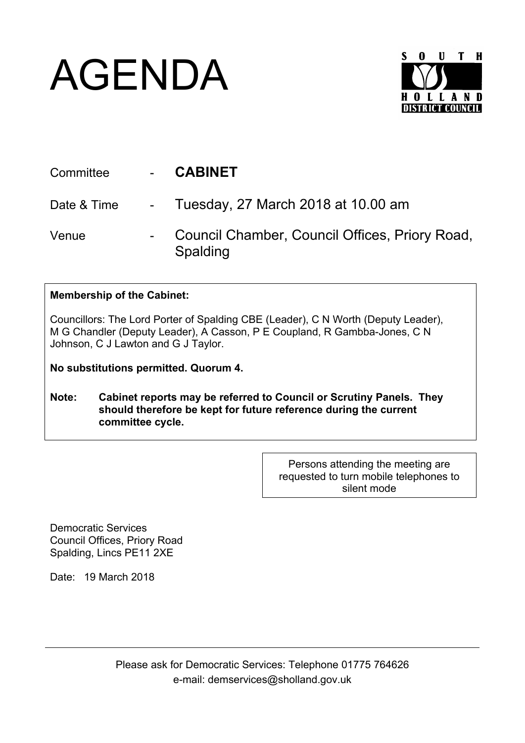## AGENDA



| Committee   | - CABINET                                                  |
|-------------|------------------------------------------------------------|
| Date & Time | - Tuesday, 27 March 2018 at 10.00 am                       |
| Venue       | Council Chamber, Council Offices, Priory Road,<br>Spalding |

## **Membership of the Cabinet:**

Councillors: The Lord Porter of Spalding CBE (Leader), C N Worth (Deputy Leader), M G Chandler (Deputy Leader), A Casson, P E Coupland, R Gambba-Jones, C N Johnson, C J Lawton and G J Taylor.

**No substitutions permitted. Quorum 4.**

**Note: Cabinet reports may be referred to Council or Scrutiny Panels. They should therefore be kept for future reference during the current committee cycle.** 

> Persons attending the meeting are requested to turn mobile telephones to silent mode

Democratic Services Council Offices, Priory Road Spalding, Lincs PE11 2XE

Date: 19 March 2018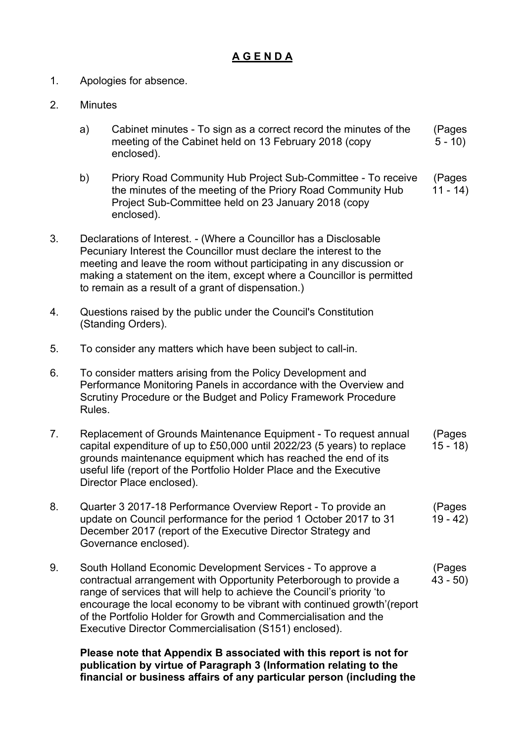## **A G E N D A**

- 1. Apologies for absence.
- 2. Minutes
	- a) Cabinet minutes To sign as a correct record the minutes of the meeting of the Cabinet held on 13 February 2018 (copy enclosed). (Pages  $5 - 10$
	- b) Priory Road Community Hub Project Sub-Committee To receive the minutes of the meeting of the Priory Road Community Hub Project Sub-Committee held on 23 January 2018 (copy enclosed). (Pages  $11 - 14$
- 3. Declarations of Interest. (Where a Councillor has a Disclosable Pecuniary Interest the Councillor must declare the interest to the meeting and leave the room without participating in any discussion or making a statement on the item, except where a Councillor is permitted to remain as a result of a grant of dispensation.)
- 4. Questions raised by the public under the Council's Constitution (Standing Orders).
- 5. To consider any matters which have been subject to call-in.
- 6. To consider matters arising from the Policy Development and Performance Monitoring Panels in accordance with the Overview and Scrutiny Procedure or the Budget and Policy Framework Procedure Rules.
- 7. Replacement of Grounds Maintenance Equipment To request annual capital expenditure of up to £50,000 until 2022/23 (5 years) to replace grounds maintenance equipment which has reached the end of its useful life (report of the Portfolio Holder Place and the Executive Director Place enclosed). (Pages 15 - 18)
- 8. Quarter 3 2017-18 Performance Overview Report To provide an update on Council performance for the period 1 October 2017 to 31 December 2017 (report of the Executive Director Strategy and Governance enclosed). (Pages 19 - 42)
- 9. South Holland Economic Development Services To approve a contractual arrangement with Opportunity Peterborough to provide a range of services that will help to achieve the Council's priority 'to encourage the local economy to be vibrant with continued growth'(report of the Portfolio Holder for Growth and Commercialisation and the Executive Director Commercialisation (S151) enclosed). (Pages 43 - 50)

**Please note that Appendix B associated with this report is not for publication by virtue of Paragraph 3 (Information relating to the financial or business affairs of any particular person (including the**